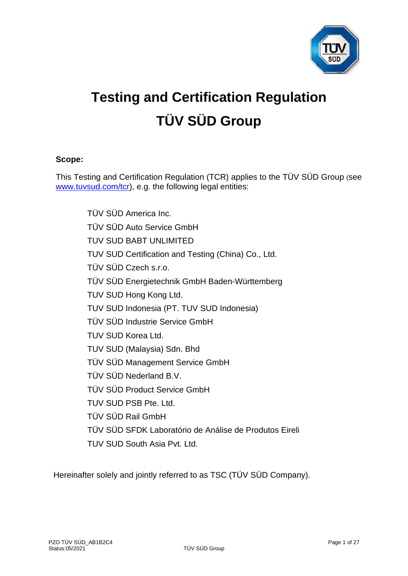

# **Testing and Certification Regulation TÜV SÜD Group**

# **Scope:**

This Testing and Certification Regulation (TCR) applies to the TÜV SÜD Group (see [www.tuvsud.com/tcr\)](http://www.tuvsud.com/tcr), e.g. the following legal entities:

> TÜV SÜD America Inc. TÜV SÜD Auto Service GmbH TUV SUD BABT UNLIMITED TUV SUD Certification and Testing (China) Co., Ltd. TÜV SÜD Czech s.r.o. TÜV SÜD Energietechnik GmbH Baden-Württemberg TUV SUD Hong Kong Ltd. TUV SUD Indonesia (PT. TUV SUD Indonesia) TÜV SÜD Industrie Service GmbH TUV SUD Korea Ltd. TUV SUD (Malaysia) Sdn. Bhd TÜV SÜD Management Service GmbH TÜV SÜD Nederland B.V. TÜV SÜD Product Service GmbH TUV SUD PSB Pte. Ltd. TÜV SÜD Rail GmbH TÜV SÜD SFDK Laboratório de Análise de Produtos Eireli TUV SUD South Asia Pvt. Ltd.

Hereinafter solely and jointly referred to as TSC (TÜV SÜD Company).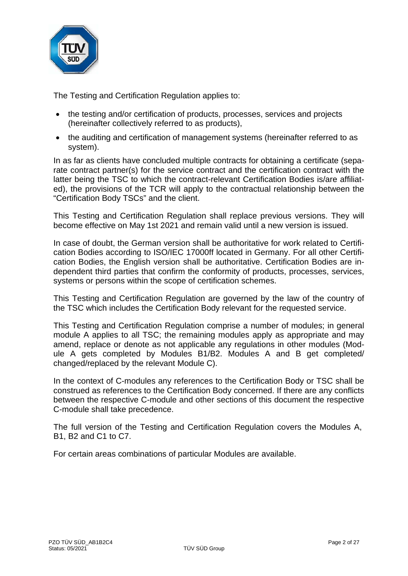

The Testing and Certification Regulation applies to:

- the testing and/or certification of products, processes, services and projects (hereinafter collectively referred to as products),
- the auditing and certification of management systems (hereinafter referred to as system).

In as far as clients have concluded multiple contracts for obtaining a certificate (separate contract partner(s) for the service contract and the certification contract with the latter being the TSC to which the contract-relevant Certification Bodies is/are affiliated), the provisions of the TCR will apply to the contractual relationship between the "Certification Body TSCs" and the client.

This Testing and Certification Regulation shall replace previous versions. They will become effective on May 1st 2021 and remain valid until a new version is issued.

In case of doubt, the German version shall be authoritative for work related to Certification Bodies according to ISO/IEC 17000ff located in Germany. For all other Certification Bodies, the English version shall be authoritative. Certification Bodies are independent third parties that confirm the conformity of products, processes, services, systems or persons within the scope of certification schemes.

This Testing and Certification Regulation are governed by the law of the country of the TSC which includes the Certification Body relevant for the requested service.

This Testing and Certification Regulation comprise a number of modules; in general module A applies to all TSC; the remaining modules apply as appropriate and may amend, replace or denote as not applicable any regulations in other modules (Module A gets completed by Modules B1/B2. Modules A and B get completed/ changed/replaced by the relevant Module C).

In the context of C-modules any references to the Certification Body or TSC shall be construed as references to the Certification Body concerned. If there are any conflicts between the respective C-module and other sections of this document the respective C-module shall take precedence.

The full version of the Testing and Certification Regulation covers the Modules A, B1, B2 and C1 to C7.

For certain areas combinations of particular Modules are available.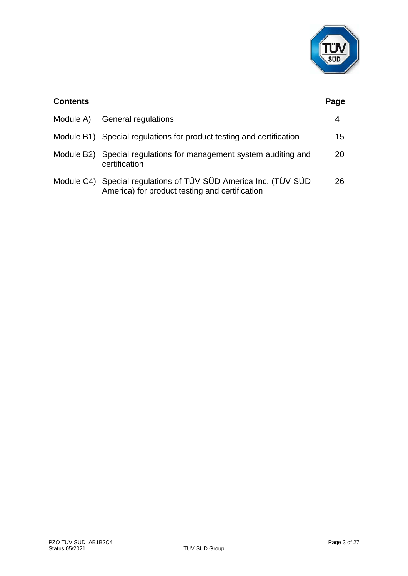

| <b>Contents</b> |                                                                                                                   | Page |
|-----------------|-------------------------------------------------------------------------------------------------------------------|------|
| Module A)       | General regulations                                                                                               | 4    |
|                 | Module B1) Special regulations for product testing and certification                                              | 15   |
|                 | Module B2) Special regulations for management system auditing and<br>certification                                | 20   |
|                 | Module C4) Special regulations of TÜV SÜD America Inc. (TÜV SÜD<br>America) for product testing and certification | 26   |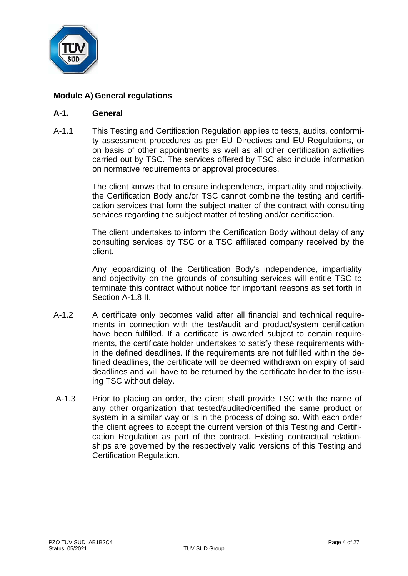

# **Module A) General regulations**

#### **A-1. General**

A-1.1 This Testing and Certification Regulation applies to tests, audits, conformity assessment procedures as per EU Directives and EU Regulations, or on basis of other appointments as well as all other certification activities carried out by TSC. The services offered by TSC also include information on normative requirements or approval procedures.

> The client knows that to ensure independence, impartiality and objectivity, the Certification Body and/or TSC cannot combine the testing and certification services that form the subject matter of the contract with consulting services regarding the subject matter of testing and/or certification.

> The client undertakes to inform the Certification Body without delay of any consulting services by TSC or a TSC affiliated company received by the client.

> Any jeopardizing of the Certification Body's independence, impartiality and objectivity on the grounds of consulting services will entitle TSC to terminate this contract without notice for important reasons as set forth in Section A-1.8 II.

- A-1.2 A certificate only becomes valid after all financial and technical requirements in connection with the test/audit and product/system certification have been fulfilled. If a certificate is awarded subject to certain requirements, the certificate holder undertakes to satisfy these requirements within the defined deadlines. If the requirements are not fulfilled within the defined deadlines, the certificate will be deemed withdrawn on expiry of said deadlines and will have to be returned by the certificate holder to the issuing TSC without delay.
- A-1.3 Prior to placing an order, the client shall provide TSC with the name of any other organization that tested/audited/certified the same product or system in a similar way or is in the process of doing so. With each order the client agrees to accept the current version of this Testing and Certification Regulation as part of the contract. Existing contractual relationships are governed by the respectively valid versions of this Testing and Certification Regulation.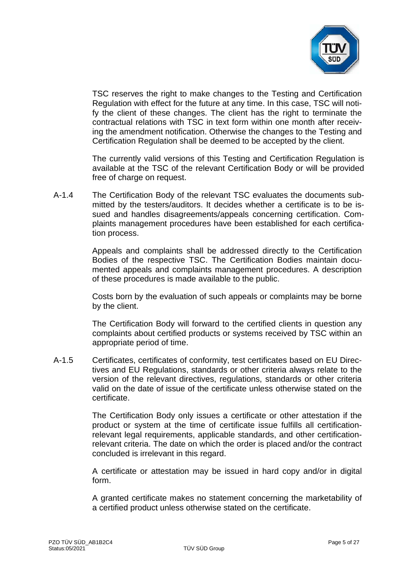

TSC reserves the right to make changes to the Testing and Certification Regulation with effect for the future at any time. In this case, TSC will notify the client of these changes. The client has the right to terminate the contractual relations with TSC in text form within one month after receiving the amendment notification. Otherwise the changes to the Testing and Certification Regulation shall be deemed to be accepted by the client.

The currently valid versions of this Testing and Certification Regulation is available at the TSC of the relevant Certification Body or will be provided free of charge on request.

A-1.4 The Certification Body of the relevant TSC evaluates the documents submitted by the testers/auditors. It decides whether a certificate is to be issued and handles disagreements/appeals concerning certification. Complaints management procedures have been established for each certification process.

> Appeals and complaints shall be addressed directly to the Certification Bodies of the respective TSC. The Certification Bodies maintain documented appeals and complaints management procedures. A description of these procedures is made available to the public.

> Costs born by the evaluation of such appeals or complaints may be borne by the client.

> The Certification Body will forward to the certified clients in question any complaints about certified products or systems received by TSC within an appropriate period of time.

A-1.5 Certificates, certificates of conformity, test certificates based on EU Directives and EU Regulations, standards or other criteria always relate to the version of the relevant directives, regulations, standards or other criteria valid on the date of issue of the certificate unless otherwise stated on the certificate.

> The Certification Body only issues a certificate or other attestation if the product or system at the time of certificate issue fulfills all certificationrelevant legal requirements, applicable standards, and other certificationrelevant criteria. The date on which the order is placed and/or the contract concluded is irrelevant in this regard.

> A certificate or attestation may be issued in hard copy and/or in digital form.

> A granted certificate makes no statement concerning the marketability of a certified product unless otherwise stated on the certificate.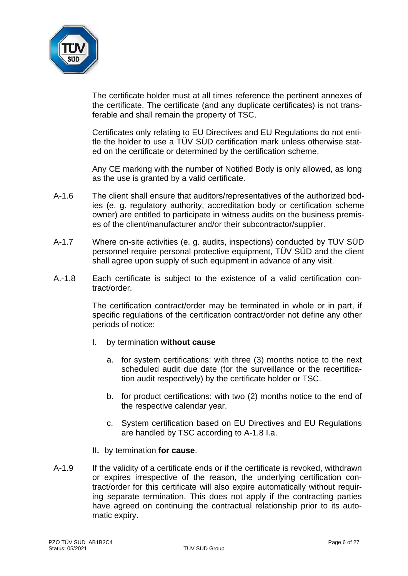

The certificate holder must at all times reference the pertinent annexes of the certificate. The certificate (and any duplicate certificates) is not transferable and shall remain the property of TSC.

Certificates only relating to EU Directives and EU Regulations do not entitle the holder to use a TÜV SÜD certification mark unless otherwise stated on the certificate or determined by the certification scheme.

Any CE marking with the number of Notified Body is only allowed, as long as the use is granted by a valid certificate.

- A-1.6 The client shall ensure that auditors/representatives of the authorized bodies (e. g. regulatory authority, accreditation body or certification scheme owner) are entitled to participate in witness audits on the business premises of the client/manufacturer and/or their subcontractor/supplier.
- A-1.7 Where on-site activities (e. g. audits, inspections) conducted by TÜV SÜD personnel require personal protective equipment, TÜV SÜD and the client shall agree upon supply of such equipment in advance of any visit.
- A.-1.8 Each certificate is subject to the existence of a valid certification contract/order.

The certification contract/order may be terminated in whole or in part, if specific regulations of the certification contract/order not define any other periods of notice:

- I. by termination **without cause**
	- a. for system certifications: with three (3) months notice to the next scheduled audit due date (for the surveillance or the recertification audit respectively) by the certificate holder or TSC.
	- b. for product certifications: with two (2) months notice to the end of the respective calendar year.
	- c. System certification based on EU Directives and EU Regulations are handled by TSC according to A-1.8 I.a.
- II**.** by termination **for cause**.
- A-1.9 If the validity of a certificate ends or if the certificate is revoked, withdrawn or expires irrespective of the reason, the underlying certification contract/order for this certificate will also expire automatically without requiring separate termination. This does not apply if the contracting parties have agreed on continuing the contractual relationship prior to its automatic expiry.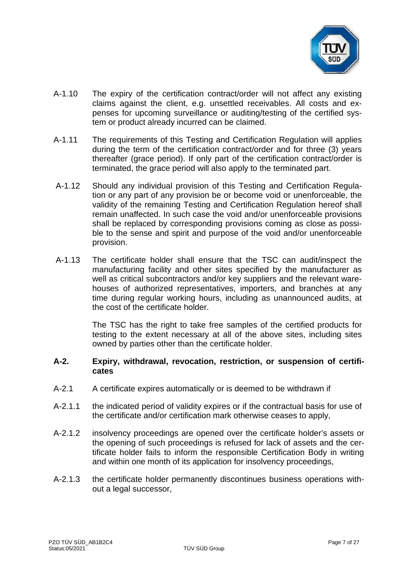

- A-1.10 The expiry of the certification contract/order will not affect any existing claims against the client, e.g. unsettled receivables. All costs and expenses for upcoming surveillance or auditing/testing of the certified system or product already incurred can be claimed.
- A-1.11 The requirements of this Testing and Certification Regulation will applies during the term of the certification contract/order and for three (3) years thereafter (grace period). If only part of the certification contract/order is terminated, the grace period will also apply to the terminated part.
- A-1.12 Should any individual provision of this Testing and Certification Regulation or any part of any provision be or become void or unenforceable, the validity of the remaining Testing and Certification Regulation hereof shall remain unaffected. In such case the void and/or unenforceable provisions shall be replaced by corresponding provisions coming as close as possible to the sense and spirit and purpose of the void and/or unenforceable provision.
- A-1.13 The certificate holder shall ensure that the TSC can audit/inspect the manufacturing facility and other sites specified by the manufacturer as well as critical subcontractors and/or key suppliers and the relevant warehouses of authorized representatives, importers, and branches at any time during regular working hours, including as unannounced audits, at the cost of the certificate holder.

The TSC has the right to take free samples of the certified products for testing to the extent necessary at all of the above sites, including sites owned by parties other than the certificate holder.

#### **A-2. Expiry, withdrawal, revocation, restriction, or suspension of certificates**

- A-2.1 A certificate expires automatically or is deemed to be withdrawn if
- A-2.1.1 the indicated period of validity expires or if the contractual basis for use of the certificate and/or certification mark otherwise ceases to apply,
- A-2.1.2 insolvency proceedings are opened over the certificate holder's assets or the opening of such proceedings is refused for lack of assets and the certificate holder fails to inform the responsible Certification Body in writing and within one month of its application for insolvency proceedings,
- A-2.1.3 the certificate holder permanently discontinues business operations without a legal successor,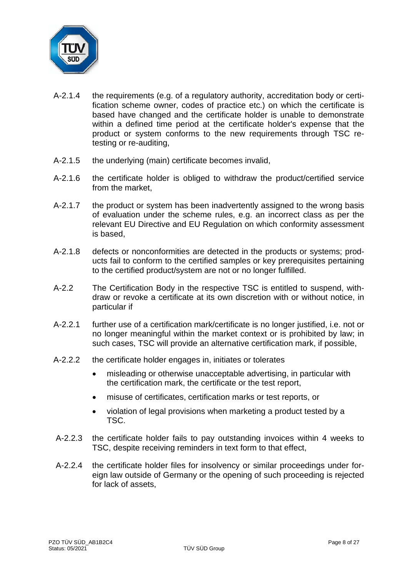

- A-2.1.4 the requirements (e.g. of a regulatory authority, accreditation body or certification scheme owner, codes of practice etc.) on which the certificate is based have changed and the certificate holder is unable to demonstrate within a defined time period at the certificate holder's expense that the product or system conforms to the new requirements through TSC retesting or re-auditing,
- A-2.1.5 the underlying (main) certificate becomes invalid,
- A-2.1.6 the certificate holder is obliged to withdraw the product/certified service from the market,
- A-2.1.7 the product or system has been inadvertently assigned to the wrong basis of evaluation under the scheme rules, e.g. an incorrect class as per the relevant EU Directive and EU Regulation on which conformity assessment is based,
- A-2.1.8 defects or nonconformities are detected in the products or systems; products fail to conform to the certified samples or key prerequisites pertaining to the certified product/system are not or no longer fulfilled.
- A-2.2 The Certification Body in the respective TSC is entitled to suspend, withdraw or revoke a certificate at its own discretion with or without notice, in particular if
- A-2.2.1 further use of a certification mark/certificate is no longer justified, i.e. not or no longer meaningful within the market context or is prohibited by law; in such cases, TSC will provide an alternative certification mark, if possible,
- A-2.2.2 the certificate holder engages in, initiates or tolerates
	- misleading or otherwise unacceptable advertising, in particular with the certification mark, the certificate or the test report,
	- misuse of certificates, certification marks or test reports, or
	- violation of legal provisions when marketing a product tested by a TSC.
- A-2.2.3 the certificate holder fails to pay outstanding invoices within 4 weeks to TSC, despite receiving reminders in text form to that effect,
- A-2.2.4 the certificate holder files for insolvency or similar proceedings under foreign law outside of Germany or the opening of such proceeding is rejected for lack of assets,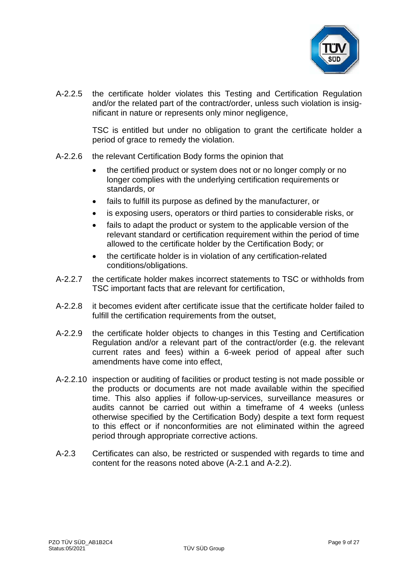

A-2.2.5 the certificate holder violates this Testing and Certification Regulation and/or the related part of the contract/order, unless such violation is insignificant in nature or represents only minor negligence,

> TSC is entitled but under no obligation to grant the certificate holder a period of grace to remedy the violation.

- A-2.2.6 the relevant Certification Body forms the opinion that
	- the certified product or system does not or no longer comply or no longer complies with the underlying certification requirements or standards, or
	- fails to fulfill its purpose as defined by the manufacturer, or
	- is exposing users, operators or third parties to considerable risks, or
	- fails to adapt the product or system to the applicable version of the relevant standard or certification requirement within the period of time allowed to the certificate holder by the Certification Body; or
	- the certificate holder is in violation of any certification-related conditions/obligations.
- A-2.2.7 the certificate holder makes incorrect statements to TSC or withholds from TSC important facts that are relevant for certification,
- A-2.2.8 it becomes evident after certificate issue that the certificate holder failed to fulfill the certification requirements from the outset,
- A-2.2.9 the certificate holder objects to changes in this Testing and Certification Regulation and/or a relevant part of the contract/order (e.g. the relevant current rates and fees) within a 6-week period of appeal after such amendments have come into effect,
- A-2.2.10 inspection or auditing of facilities or product testing is not made possible or the products or documents are not made available within the specified time. This also applies if follow-up-services, surveillance measures or audits cannot be carried out within a timeframe of 4 weeks (unless otherwise specified by the Certification Body) despite a text form request to this effect or if nonconformities are not eliminated within the agreed period through appropriate corrective actions.
- A-2.3 Certificates can also, be restricted or suspended with regards to time and content for the reasons noted above (A-2.1 and A-2.2).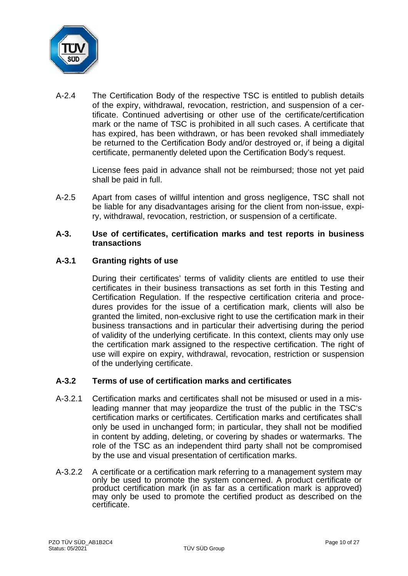

A-2.4 The Certification Body of the respective TSC is entitled to publish details of the expiry, withdrawal, revocation, restriction, and suspension of a certificate. Continued advertising or other use of the certificate/certification mark or the name of TSC is prohibited in all such cases. A certificate that has expired, has been withdrawn, or has been revoked shall immediately be returned to the Certification Body and/or destroyed or, if being a digital certificate, permanently deleted upon the Certification Body's request.

> License fees paid in advance shall not be reimbursed; those not yet paid shall be paid in full.

A-2.5 Apart from cases of willful intention and gross negligence, TSC shall not be liable for any disadvantages arising for the client from non-issue, expiry, withdrawal, revocation, restriction, or suspension of a certificate.

#### **A-3. Use of certificates, certification marks and test reports in business transactions**

# **A-3.1 Granting rights of use**

During their certificates' terms of validity clients are entitled to use their certificates in their business transactions as set forth in this Testing and Certification Regulation. If the respective certification criteria and procedures provides for the issue of a certification mark, clients will also be granted the limited, non-exclusive right to use the certification mark in their business transactions and in particular their advertising during the period of validity of the underlying certificate. In this context, clients may only use the certification mark assigned to the respective certification. The right of use will expire on expiry, withdrawal, revocation, restriction or suspension of the underlying certificate.

# **A-3.2 Terms of use of certification marks and certificates**

- A-3.2.1 Certification marks and certificates shall not be misused or used in a misleading manner that may jeopardize the trust of the public in the TSC's certification marks or certificates. Certification marks and certificates shall only be used in unchanged form; in particular, they shall not be modified in content by adding, deleting, or covering by shades or watermarks. The role of the TSC as an independent third party shall not be compromised by the use and visual presentation of certification marks.
- A-3.2.2 A certificate or a certification mark referring to a management system may only be used to promote the system concerned. A product certificate or product certification mark (in as far as a certification mark is approved) may only be used to promote the certified product as described on the certificate.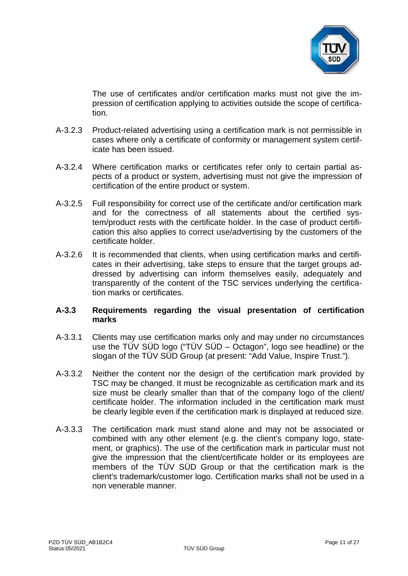

The use of certificates and/or certification marks must not give the impression of certification applying to activities outside the scope of certification.

- A-3.2.3 Product-related advertising using a certification mark is not permissible in cases where only a certificate of conformity or management system certificate has been issued.
- A-3.2.4 Where certification marks or certificates refer only to certain partial aspects of a product or system, advertising must not give the impression of certification of the entire product or system.
- A-3.2.5 Full responsibility for correct use of the certificate and/or certification mark and for the correctness of all statements about the certified system/product rests with the certificate holder. In the case of product certification this also applies to correct use/advertising by the customers of the certificate holder.
- A-3.2.6 It is recommended that clients, when using certification marks and certificates in their advertising, take steps to ensure that the target groups addressed by advertising can inform themselves easily, adequately and transparently of the content of the TSC services underlying the certification marks or certificates.

# **A-3.3 Requirements regarding the visual presentation of certification marks**

- A-3.3.1 Clients may use certification marks only and may under no circumstances use the TÜV SÜD logo ("TÜV SÜD – Octagon", logo see headline) or the slogan of the TÜV SÜD Group (at present: "Add Value, Inspire Trust.").
- A-3.3.2 Neither the content nor the design of the certification mark provided by TSC may be changed. It must be recognizable as certification mark and its size must be clearly smaller than that of the company logo of the client/ certificate holder. The information included in the certification mark must be clearly legible even if the certification mark is displayed at reduced size.
- A-3.3.3 The certification mark must stand alone and may not be associated or combined with any other element (e.g. the client's company logo, statement, or graphics). The use of the certification mark in particular must not give the impression that the client/certificate holder or its employees are members of the TÜV SÜD Group or that the certification mark is the client's trademark/customer logo. Certification marks shall not be used in a non venerable manner.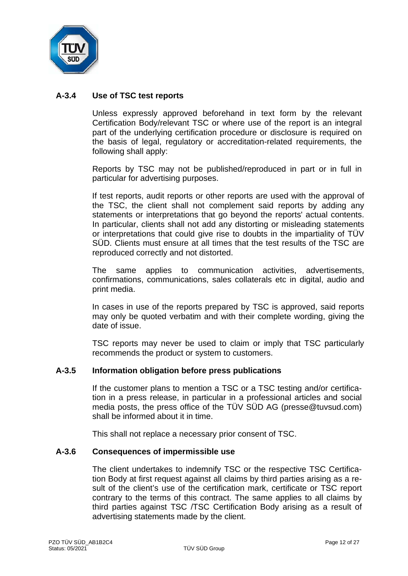

# **A-3.4 Use of TSC test reports**

Unless expressly approved beforehand in text form by the relevant Certification Body/relevant TSC or where use of the report is an integral part of the underlying certification procedure or disclosure is required on the basis of legal, regulatory or accreditation-related requirements, the following shall apply:

Reports by TSC may not be published/reproduced in part or in full in particular for advertising purposes.

If test reports, audit reports or other reports are used with the approval of the TSC, the client shall not complement said reports by adding any statements or interpretations that go beyond the reports' actual contents. In particular, clients shall not add any distorting or misleading statements or interpretations that could give rise to doubts in the impartiality of TÜV SÜD. Clients must ensure at all times that the test results of the TSC are reproduced correctly and not distorted.

The same applies to communication activities, advertisements, confirmations, communications, sales collaterals etc in digital, audio and print media.

In cases in use of the reports prepared by TSC is approved, said reports may only be quoted verbatim and with their complete wording, giving the date of issue.

TSC reports may never be used to claim or imply that TSC particularly recommends the product or system to customers.

#### **A-3.5 Information obligation before press publications**

If the customer plans to mention a TSC or a TSC testing and/or certification in a press release, in particular in a professional articles and social media posts, the press office of the TÜV SÜD AG (presse@tuvsud.com) shall be informed about it in time.

This shall not replace a necessary prior consent of TSC.

#### **A-3.6 Consequences of impermissible use**

The client undertakes to indemnify TSC or the respective TSC Certification Body at first request against all claims by third parties arising as a result of the client's use of the certification mark, certificate or TSC report contrary to the terms of this contract. The same applies to all claims by third parties against TSC /TSC Certification Body arising as a result of advertising statements made by the client.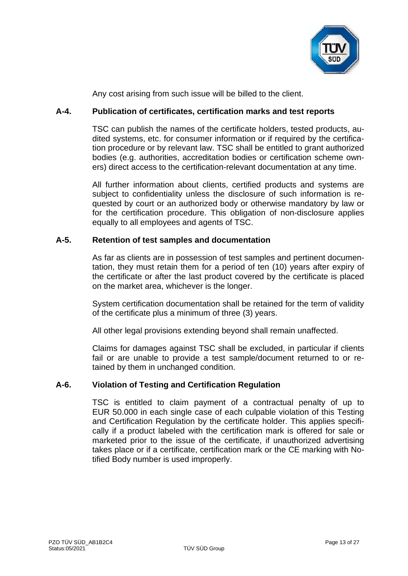

Any cost arising from such issue will be billed to the client.

# **A-4. Publication of certificates, certification marks and test reports**

TSC can publish the names of the certificate holders, tested products, audited systems, etc. for consumer information or if required by the certification procedure or by relevant law. TSC shall be entitled to grant authorized bodies (e.g. authorities, accreditation bodies or certification scheme owners) direct access to the certification-relevant documentation at any time.

All further information about clients, certified products and systems are subject to confidentiality unless the disclosure of such information is requested by court or an authorized body or otherwise mandatory by law or for the certification procedure. This obligation of non-disclosure applies equally to all employees and agents of TSC.

# **A-5. Retention of test samples and documentation**

As far as clients are in possession of test samples and pertinent documentation, they must retain them for a period of ten (10) years after expiry of the certificate or after the last product covered by the certificate is placed on the market area, whichever is the longer.

System certification documentation shall be retained for the term of validity of the certificate plus a minimum of three (3) years.

All other legal provisions extending beyond shall remain unaffected.

Claims for damages against TSC shall be excluded, in particular if clients fail or are unable to provide a test sample/document returned to or retained by them in unchanged condition.

# **A-6. Violation of Testing and Certification Regulation**

TSC is entitled to claim payment of a contractual penalty of up to EUR 50.000 in each single case of each culpable violation of this Testing and Certification Regulation by the certificate holder. This applies specifically if a product labeled with the certification mark is offered for sale or marketed prior to the issue of the certificate, if unauthorized advertising takes place or if a certificate, certification mark or the CE marking with Notified Body number is used improperly.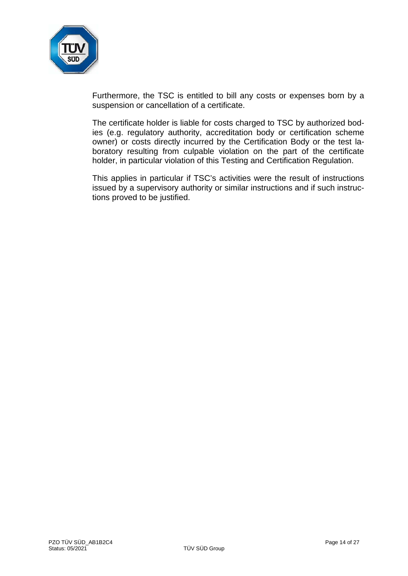

Furthermore, the TSC is entitled to bill any costs or expenses born by a suspension or cancellation of a certificate.

The certificate holder is liable for costs charged to TSC by authorized bodies (e.g. regulatory authority, accreditation body or certification scheme owner) or costs directly incurred by the Certification Body or the test laboratory resulting from culpable violation on the part of the certificate holder, in particular violation of this Testing and Certification Regulation.

This applies in particular if TSC's activities were the result of instructions issued by a supervisory authority or similar instructions and if such instructions proved to be justified.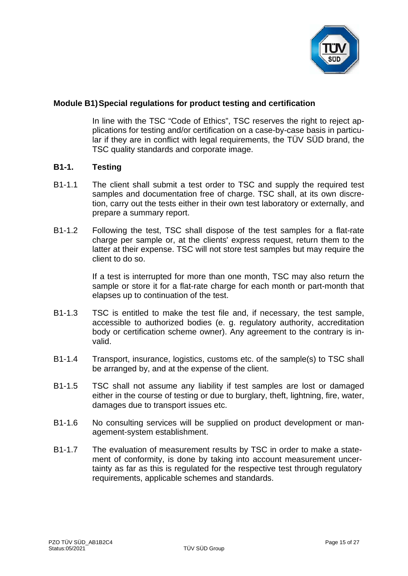

# **Module B1)Special regulations for product testing and certification**

In line with the TSC "Code of Ethics", TSC reserves the right to reject applications for testing and/or certification on a case-by-case basis in particular if they are in conflict with legal requirements, the TÜV SÜD brand, the TSC quality standards and corporate image.

#### **B1-1. Testing**

- B1-1.1 The client shall submit a test order to TSC and supply the required test samples and documentation free of charge. TSC shall, at its own discretion, carry out the tests either in their own test laboratory or externally, and prepare a summary report.
- B1-1.2 Following the test, TSC shall dispose of the test samples for a flat-rate charge per sample or, at the clients' express request, return them to the latter at their expense. TSC will not store test samples but may require the client to do so.

If a test is interrupted for more than one month, TSC may also return the sample or store it for a flat-rate charge for each month or part-month that elapses up to continuation of the test.

- B1-1.3 TSC is entitled to make the test file and, if necessary, the test sample, accessible to authorized bodies (e. g. regulatory authority, accreditation body or certification scheme owner). Any agreement to the contrary is invalid.
- B1-1.4 Transport, insurance, logistics, customs etc. of the sample(s) to TSC shall be arranged by, and at the expense of the client.
- B1-1.5 TSC shall not assume any liability if test samples are lost or damaged either in the course of testing or due to burglary, theft, lightning, fire, water, damages due to transport issues etc.
- B1-1.6 No consulting services will be supplied on product development or management-system establishment.
- B1-1.7 The evaluation of measurement results by TSC in order to make a statement of conformity, is done by taking into account measurement uncertainty as far as this is regulated for the respective test through regulatory requirements, applicable schemes and standards.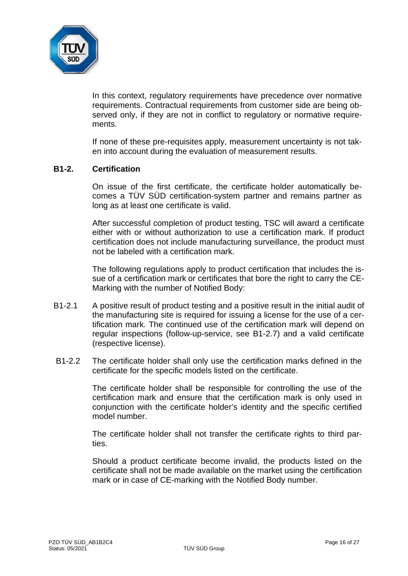

In this context, regulatory requirements have precedence over normative requirements. Contractual requirements from customer side are being observed only, if they are not in conflict to regulatory or normative requirements.

If none of these pre-requisites apply, measurement uncertainty is not taken into account during the evaluation of measurement results.

#### **B1-2. Certification**

On issue of the first certificate, the certificate holder automatically becomes a TÜV SÜD certification-system partner and remains partner as long as at least one certificate is valid.

After successful completion of product testing, TSC will award a certificate either with or without authorization to use a certification mark. If product certification does not include manufacturing surveillance, the product must not be labeled with a certification mark.

The following regulations apply to product certification that includes the issue of a certification mark or certificates that bore the right to carry the CE-Marking with the number of Notified Body:

- B1-2.1 A positive result of product testing and a positive result in the initial audit of the manufacturing site is required for issuing a license for the use of a certification mark. The continued use of the certification mark will depend on regular inspections (follow-up-service, see B1-2.7) and a valid certificate (respective license).
- B1-2.2 The certificate holder shall only use the certification marks defined in the certificate for the specific models listed on the certificate.

The certificate holder shall be responsible for controlling the use of the certification mark and ensure that the certification mark is only used in conjunction with the certificate holder's identity and the specific certified model number.

The certificate holder shall not transfer the certificate rights to third parties.

Should a product certificate become invalid, the products listed on the certificate shall not be made available on the market using the certification mark or in case of CE-marking with the Notified Body number.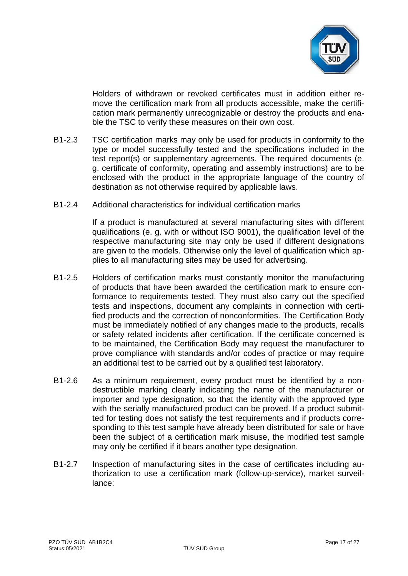

Holders of withdrawn or revoked certificates must in addition either remove the certification mark from all products accessible, make the certification mark permanently unrecognizable or destroy the products and enable the TSC to verify these measures on their own cost.

- B1-2.3 TSC certification marks may only be used for products in conformity to the type or model successfully tested and the specifications included in the test report(s) or supplementary agreements. The required documents (e. g. certificate of conformity, operating and assembly instructions) are to be enclosed with the product in the appropriate language of the country of destination as not otherwise required by applicable laws.
- B1-2.4 Additional characteristics for individual certification marks

If a product is manufactured at several manufacturing sites with different qualifications (e. g. with or without ISO 9001), the qualification level of the respective manufacturing site may only be used if different designations are given to the models. Otherwise only the level of qualification which applies to all manufacturing sites may be used for advertising.

- B1-2.5 Holders of certification marks must constantly monitor the manufacturing of products that have been awarded the certification mark to ensure conformance to requirements tested. They must also carry out the specified tests and inspections, document any complaints in connection with certified products and the correction of nonconformities. The Certification Body must be immediately notified of any changes made to the products, recalls or safety related incidents after certification. If the certificate concerned is to be maintained, the Certification Body may request the manufacturer to prove compliance with standards and/or codes of practice or may require an additional test to be carried out by a qualified test laboratory.
- B1-2.6 As a minimum requirement, every product must be identified by a nondestructible marking clearly indicating the name of the manufacturer or importer and type designation, so that the identity with the approved type with the serially manufactured product can be proved. If a product submitted for testing does not satisfy the test requirements and if products corresponding to this test sample have already been distributed for sale or have been the subject of a certification mark misuse, the modified test sample may only be certified if it bears another type designation.
- B1-2.7 Inspection of manufacturing sites in the case of certificates including authorization to use a certification mark (follow-up-service), market surveillance: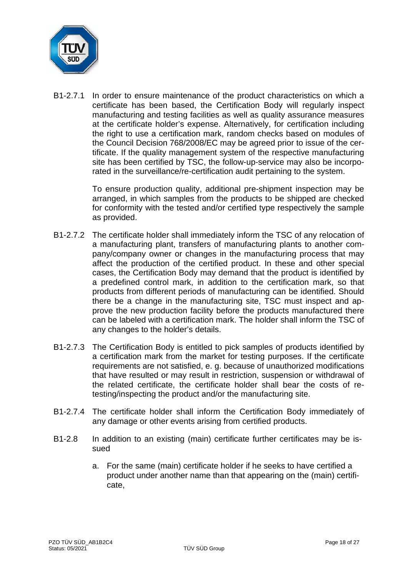

B1-2.7.1 In order to ensure maintenance of the product characteristics on which a certificate has been based, the Certification Body will regularly inspect manufacturing and testing facilities as well as quality assurance measures at the certificate holder's expense. Alternatively, for certification including the right to use a certification mark, random checks based on modules of the Council Decision 768/2008/EC may be agreed prior to issue of the certificate. If the quality management system of the respective manufacturing site has been certified by TSC, the follow-up-service may also be incorporated in the surveillance/re-certification audit pertaining to the system.

> To ensure production quality, additional pre-shipment inspection may be arranged, in which samples from the products to be shipped are checked for conformity with the tested and/or certified type respectively the sample as provided.

- B1-2.7.2 The certificate holder shall immediately inform the TSC of any relocation of a manufacturing plant, transfers of manufacturing plants to another company/company owner or changes in the manufacturing process that may affect the production of the certified product. In these and other special cases, the Certification Body may demand that the product is identified by a predefined control mark, in addition to the certification mark, so that products from different periods of manufacturing can be identified. Should there be a change in the manufacturing site, TSC must inspect and approve the new production facility before the products manufactured there can be labeled with a certification mark. The holder shall inform the TSC of any changes to the holder's details.
- B1-2.7.3 The Certification Body is entitled to pick samples of products identified by a certification mark from the market for testing purposes. If the certificate requirements are not satisfied, e. g. because of unauthorized modifications that have resulted or may result in restriction, suspension or withdrawal of the related certificate, the certificate holder shall bear the costs of retesting/inspecting the product and/or the manufacturing site.
- B1-2.7.4 The certificate holder shall inform the Certification Body immediately of any damage or other events arising from certified products.
- B1-2.8 In addition to an existing (main) certificate further certificates may be issued
	- a. For the same (main) certificate holder if he seeks to have certified a product under another name than that appearing on the (main) certificate,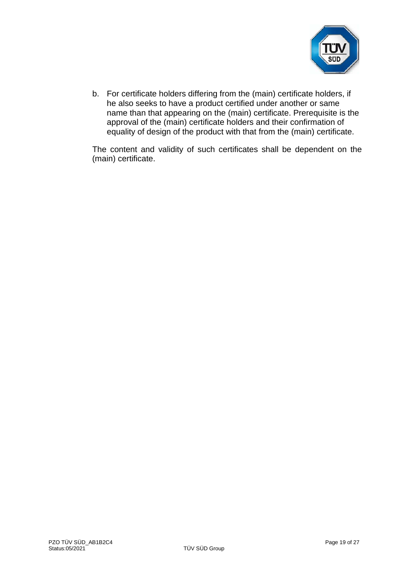

b. For certificate holders differing from the (main) certificate holders, if he also seeks to have a product certified under another or same name than that appearing on the (main) certificate. Prerequisite is the approval of the (main) certificate holders and their confirmation of equality of design of the product with that from the (main) certificate.

The content and validity of such certificates shall be dependent on the (main) certificate.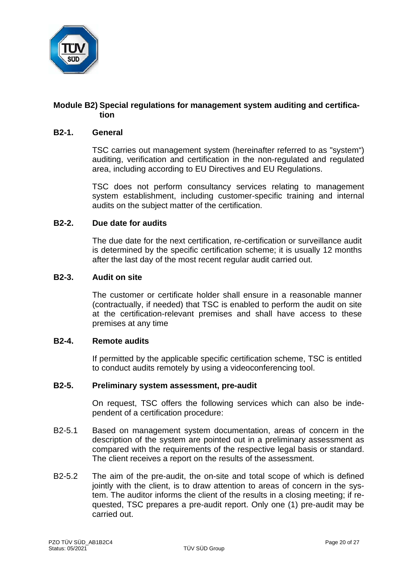

# **Module B2) Special regulations for management system auditing and certification**

#### **B2-1. General**

TSC carries out management system (hereinafter referred to as "system") auditing, verification and certification in the non-regulated and regulated area, including according to EU Directives and EU Regulations.

TSC does not perform consultancy services relating to management system establishment, including customer-specific training and internal audits on the subject matter of the certification.

#### **B2-2. Due date for audits**

The due date for the next certification, re-certification or surveillance audit is determined by the specific certification scheme; it is usually 12 months after the last day of the most recent regular audit carried out.

#### **B2-3. Audit on site**

The customer or certificate holder shall ensure in a reasonable manner (contractually, if needed) that TSC is enabled to perform the audit on site at the certification-relevant premises and shall have access to these premises at any time

#### **B2-4. Remote audits**

If permitted by the applicable specific certification scheme, TSC is entitled to conduct audits remotely by using a videoconferencing tool.

# **B2-5. Preliminary system assessment, pre-audit**

On request, TSC offers the following services which can also be independent of a certification procedure:

- B2-5.1 Based on management system documentation, areas of concern in the description of the system are pointed out in a preliminary assessment as compared with the requirements of the respective legal basis or standard. The client receives a report on the results of the assessment.
- B2-5.2 The aim of the pre-audit, the on-site and total scope of which is defined jointly with the client, is to draw attention to areas of concern in the system. The auditor informs the client of the results in a closing meeting; if requested, TSC prepares a pre-audit report. Only one (1) pre-audit may be carried out.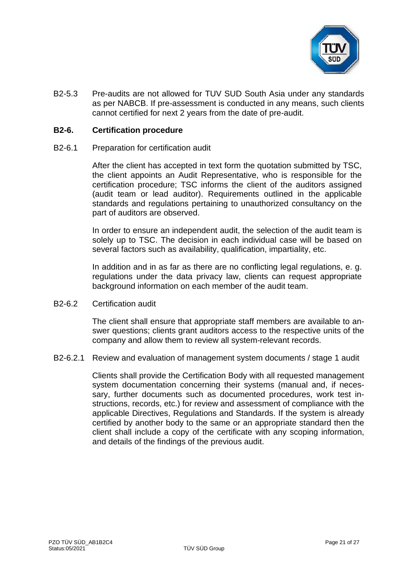

B2-5.3 Pre-audits are not allowed for TUV SUD South Asia under any standards as per NABCB. If pre-assessment is conducted in any means, such clients cannot certified for next 2 years from the date of pre-audit.

#### **B2-6. Certification procedure**

B2-6.1 Preparation for certification audit

After the client has accepted in text form the quotation submitted by TSC, the client appoints an Audit Representative, who is responsible for the certification procedure; TSC informs the client of the auditors assigned (audit team or lead auditor). Requirements outlined in the applicable standards and regulations pertaining to unauthorized consultancy on the part of auditors are observed.

In order to ensure an independent audit, the selection of the audit team is solely up to TSC. The decision in each individual case will be based on several factors such as availability, qualification, impartiality, etc.

In addition and in as far as there are no conflicting legal regulations, e. g. regulations under the data privacy law, clients can request appropriate background information on each member of the audit team.

B2-6.2 Certification audit

The client shall ensure that appropriate staff members are available to answer questions; clients grant auditors access to the respective units of the company and allow them to review all system-relevant records.

B2-6.2.1 Review and evaluation of management system documents / stage 1 audit

Clients shall provide the Certification Body with all requested management system documentation concerning their systems (manual and, if necessary, further documents such as documented procedures, work test instructions, records, etc.) for review and assessment of compliance with the applicable Directives, Regulations and Standards. If the system is already certified by another body to the same or an appropriate standard then the client shall include a copy of the certificate with any scoping information, and details of the findings of the previous audit.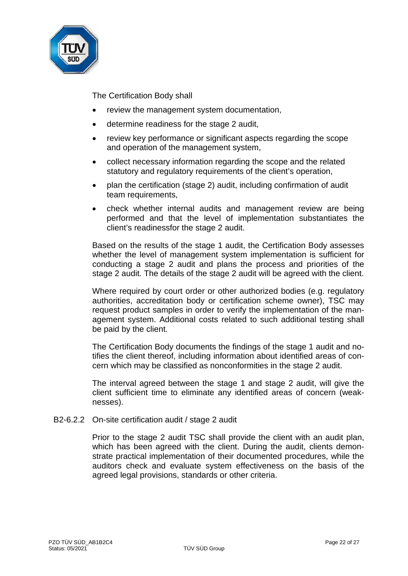

The Certification Body shall

- review the management system documentation,
- determine readiness for the stage 2 audit,
- review key performance or significant aspects regarding the scope and operation of the management system,
- collect necessary information regarding the scope and the related statutory and regulatory requirements of the client's operation,
- plan the certification (stage 2) audit, including confirmation of audit team requirements,
- check whether internal audits and management review are being performed and that the level of implementation substantiates the client's readinessfor the stage 2 audit.

Based on the results of the stage 1 audit, the Certification Body assesses whether the level of management system implementation is sufficient for conducting a stage 2 audit and plans the process and priorities of the stage 2 audit. The details of the stage 2 audit will be agreed with the client.

Where required by court order or other authorized bodies (e.g. regulatory authorities, accreditation body or certification scheme owner), TSC may request product samples in order to verify the implementation of the management system. Additional costs related to such additional testing shall be paid by the client.

The Certification Body documents the findings of the stage 1 audit and notifies the client thereof, including information about identified areas of concern which may be classified as nonconformities in the stage 2 audit.

The interval agreed between the stage 1 and stage 2 audit, will give the client sufficient time to eliminate any identified areas of concern (weaknesses).

B2-6.2.2 On-site certification audit / stage 2 audit

Prior to the stage 2 audit TSC shall provide the client with an audit plan, which has been agreed with the client. During the audit, clients demonstrate practical implementation of their documented procedures, while the auditors check and evaluate system effectiveness on the basis of the agreed legal provisions, standards or other criteria.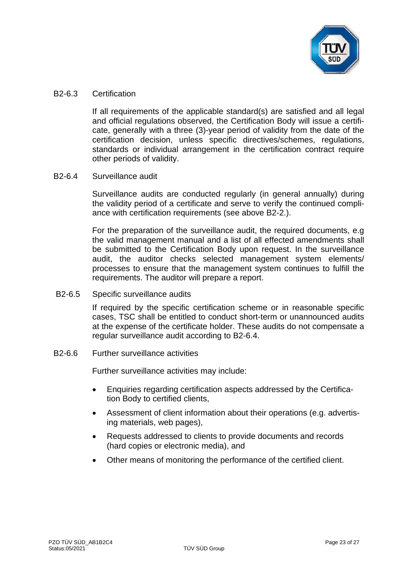

#### B2-6.3 Certification

If all requirements of the applicable standard(s) are satisfied and all legal and official regulations observed, the Certification Body will issue a certificate, generally with a three (3)-year period of validity from the date of the certification decision, unless specific directives/schemes, regulations, standards or individual arrangement in the certification contract require other periods of validity.

# B2-6.4 Surveillance audit

Surveillance audits are conducted regularly (in general annually) during the validity period of a certificate and serve to verify the continued compliance with certification requirements (see above B2-2.).

For the preparation of the surveillance audit, the required documents, e.g the valid management manual and a list of all effected amendments shall be submitted to the Certification Body upon request. In the surveillance audit, the auditor checks selected management system elements/ processes to ensure that the management system continues to fulfill the requirements. The auditor will prepare a report.

B2-6.5 Specific surveillance audits

If required by the specific certification scheme or in reasonable specific cases, TSC shall be entitled to conduct short-term or unannounced audits at the expense of the certificate holder. These audits do not compensate a regular surveillance audit according to B2-6.4.

B2-6.6 Further surveillance activities

Further surveillance activities may include:

- Enquiries regarding certification aspects addressed by the Certification Body to certified clients,
- Assessment of client information about their operations (e.g. advertising materials, web pages),
- Requests addressed to clients to provide documents and records (hard copies or electronic media), and
- Other means of monitoring the performance of the certified client.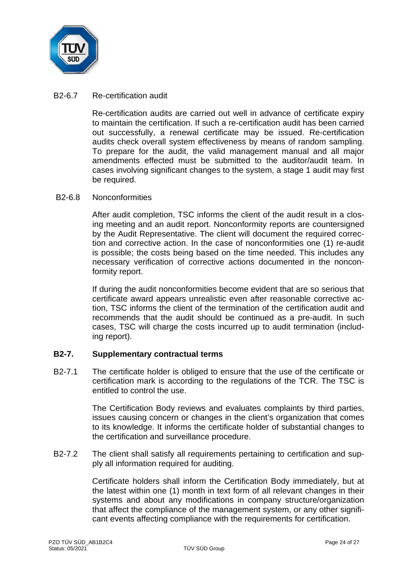

### B2-6.7 Re-certification audit

Re-certification audits are carried out well in advance of certificate expiry to maintain the certification. If such a re-certification audit has been carried out successfully, a renewal certificate may be issued. Re-certification audits check overall system effectiveness by means of random sampling. To prepare for the audit, the valid management manual and all major amendments effected must be submitted to the auditor/audit team. In cases involving significant changes to the system, a stage 1 audit may first be required.

#### B2-6.8 Nonconformities

After audit completion, TSC informs the client of the audit result in a closing meeting and an audit report. Nonconformity reports are countersigned by the Audit Representative. The client will document the required correction and corrective action. In the case of nonconformities one (1) re-audit is possible; the costs being based on the time needed. This includes any necessary verification of corrective actions documented in the nonconformity report.

If during the audit nonconformities become evident that are so serious that certificate award appears unrealistic even after reasonable corrective action, TSC informs the client of the termination of the certification audit and recommends that the audit should be continued as a pre-audit. In such cases, TSC will charge the costs incurred up to audit termination (including report).

# **B2-7. Supplementary contractual terms**

B2-7.1 The certificate holder is obliged to ensure that the use of the certificate or certification mark is according to the regulations of the TCR. The TSC is entitled to control the use.

> The Certification Body reviews and evaluates complaints by third parties, issues causing concern or changes in the client's organization that comes to its knowledge. It informs the certificate holder of substantial changes to the certification and surveillance procedure.

B2-7.2 The client shall satisfy all requirements pertaining to certification and supply all information required for auditing.

> Certificate holders shall inform the Certification Body immediately, but at the latest within one (1) month in text form of all relevant changes in their systems and about any modifications in company structure/organization that affect the compliance of the management system, or any other significant events affecting compliance with the requirements for certification.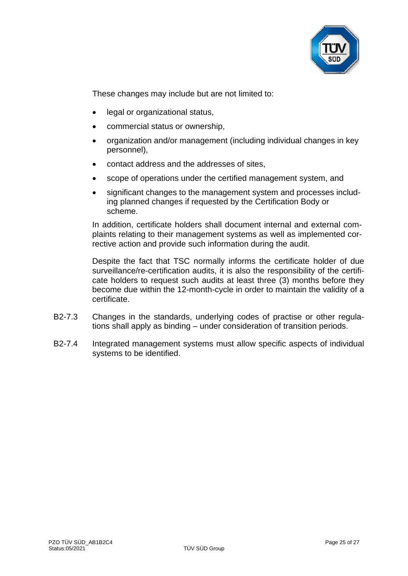

These changes may include but are not limited to:

- legal or organizational status,
- commercial status or ownership,
- organization and/or management (including individual changes in key personnel),
- contact address and the addresses of sites,
- scope of operations under the certified management system, and
- significant changes to the management system and processes including planned changes if requested by the Certification Body or scheme.

In addition, certificate holders shall document internal and external complaints relating to their management systems as well as implemented corrective action and provide such information during the audit.

Despite the fact that TSC normally informs the certificate holder of due surveillance/re-certification audits, it is also the responsibility of the certificate holders to request such audits at least three (3) months before they become due within the 12-month-cycle in order to maintain the validity of a certificate.

- B2-7.3 Changes in the standards, underlying codes of practise or other regulations shall apply as binding – under consideration of transition periods.
- B2-7.4 Integrated management systems must allow specific aspects of individual systems to be identified.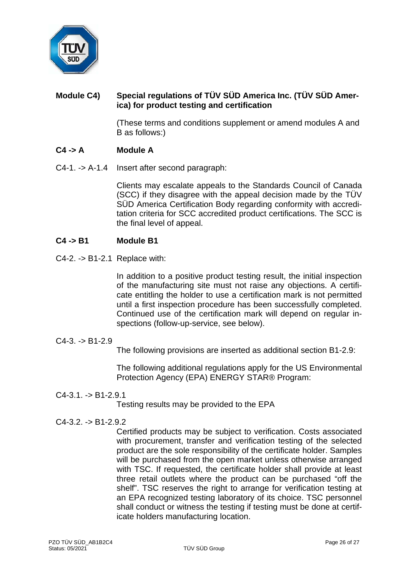

# **Module C4) Special regulations of TÜV SÜD America Inc. (TÜV SÜD America) for product testing and certification**

(These terms and conditions supplement or amend modules A and B as follows:)

# **C4 -> A Module A**

C4-1. -> A-1.4 Insert after second paragraph:

Clients may escalate appeals to the Standards Council of Canada (SCC) if they disagree with the appeal decision made by the TÜV SÜD America Certification Body regarding conformity with accreditation criteria for SCC accredited product certifications. The SCC is the final level of appeal.

# **C4 -> B1 Module B1**

C4-2. -> B1-2.1 Replace with:

In addition to a positive product testing result, the initial inspection of the manufacturing site must not raise any objections. A certificate entitling the holder to use a certification mark is not permitted until a first inspection procedure has been successfully completed. Continued use of the certification mark will depend on regular inspections (follow-up-service, see below).

 $C4-3. -> B1-2.9$ 

The following provisions are inserted as additional section B1-2.9:

The following additional regulations apply for the US Environmental Protection Agency (EPA) ENERGY STAR® Program:

 $C4-3.1. -> B1-2.9.1$ 

Testing results may be provided to the EPA

 $C4-3.2. -D B1-2.9.2$ 

Certified products may be subject to verification. Costs associated with procurement, transfer and verification testing of the selected product are the sole responsibility of the certificate holder. Samples will be purchased from the open market unless otherwise arranged with TSC. If requested, the certificate holder shall provide at least three retail outlets where the product can be purchased "off the shelf". TSC reserves the right to arrange for verification testing at an EPA recognized testing laboratory of its choice. TSC personnel shall conduct or witness the testing if testing must be done at certificate holders manufacturing location.